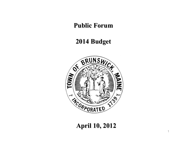### **Public Forum Public Forum**

### **2014 Budget 2014 Budget**



### **April 10, 2012 April 10, 2012**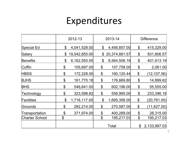## Expenditures

|                       | 2012-13                    |               | 2013-14                   |               | <b>Difference</b>     |              |
|-----------------------|----------------------------|---------------|---------------------------|---------------|-----------------------|--------------|
| Special Ed            | \$                         | 4,041,528.00  | \$                        | 4,456,857.00  | \$                    | 415,329.00   |
| Salary                | \$                         | 19,542,855.00 | $\boldsymbol{\mathsf{S}}$ | 20,374,661.57 | $\boldsymbol{\theta}$ | 831,806.57   |
| <b>Benefits</b>       | \$                         | 6,162,593.00  | \$                        | 6,564,506.19  | \$                    | 401,913.19   |
| Coffin                | $\boldsymbol{\theta}$      | 105,697.00    | \$                        | 107,758.00    | \$                    | 2,061.00     |
| <b>HBSS</b>           | \$                         | 172,228.00    | $\boldsymbol{\theta}$     | 160,120.44    | \$                    | (12,107.56)  |
| <b>BJHS</b>           | \$                         | 161,770.18    | \$                        | 176,669.80    | \$                    | 14,899.62    |
| <b>BHS</b>            | \$                         | 546,641.00    | $\boldsymbol{\theta}$     | 602,196.00    | \$                    | 55,555.00    |
| Technology            | \$                         | 323,598.82    | \$                        | 556,995.00    | \$                    | 233,396.18   |
| Facilities            | $\boldsymbol{\mathcal{S}}$ | 1,716,117.00  | $\boldsymbol{\theta}$     | 1,695,356.00  | \$                    | (20,761.00)  |
| Grounds               | \$                         | 282,214.00    | \$                        | 270,587.00    | $\boldsymbol{\theta}$ | (11, 627.00) |
| Transportation        | \$                         | 371,974.00    | \$                        | 400,289.00    | $\boldsymbol{\theta}$ | 28,315.00    |
| <b>Charter School</b> | \$                         |               | \$                        | 195,217.03    | $\boldsymbol{\theta}$ | 195,217.03   |
|                       |                            |               |                           | Total         | \$                    | 2,133,997.03 |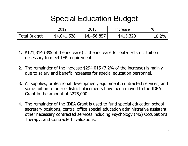### Special Education Budget

|                     | 2012        | 2013        | Increase  | %     |
|---------------------|-------------|-------------|-----------|-------|
| <b>Total Budget</b> | \$4,041,528 | \$4,456,857 | \$415,329 | 10.2% |

- 1. \$121,314 (3% of the increase) is the increase for out-of-district tuition necessary to meet IEP requirements.
- 2. The remainder of the increase \$294,015 (7.2% of the increase) is mainly due to salary and benefit increases for special education personnel.
- 3. All supplies, professional development, equipment, contracted services, and some tuition to out-of-district placements have been moved to the IDEA Grant in the amount of \$275,000.
- 4. The remainder of the IDEA Grant is used to fund special education school secretary positions, central office special education administrative assistant, other necessary contracted services including Psychology (MS) Occupational Therapy, and Contracted Evaluations.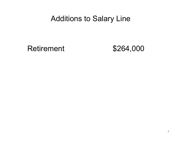### Additions to Salary Line

Retirement \$264,000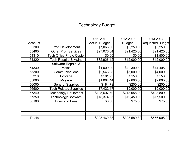#### Technology Budget

|               |                              | 2011-2012            | 2012-2013     | 2013-2014               |
|---------------|------------------------------|----------------------|---------------|-------------------------|
| Account       |                              | <b>Actual Budget</b> | <b>Budget</b> | <b>Requested Budget</b> |
| 53300         | Prof. Development            | \$7,066.06           | \$5,250.00    | \$5,250.00              |
| 53400         | <b>Other Prof. Services</b>  | \$27,076.64          | \$21,425.00   | \$21,425.00             |
| 54310         | Tech Office Photo Copier     | \$0.00               | \$0.00        | \$1,500.00              |
| 54320         | Tech Repairs & Maint.        | \$32,926.12          | \$12,000.00   | \$12,000.00             |
|               | Software Repairs &           |                      |               |                         |
| 54330         | Maint.                       | \$1,000.00           | \$42,390.82   | \$74,495.00             |
| 55300         | Communications               | \$2,546.08           | \$5,000.00    | \$4,000.00              |
| 55310         | Postage                      | \$101.93             | \$150.00      | \$150.00                |
| 55800         | Mileage                      | \$1,064.44]          | \$2,600.00    | \$2,600.00              |
| 56000         | <b>General Supplies</b>      | \$184.79             | \$200.00      | \$200.00                |
| 56500         | <b>Tech Related Supplies</b> | \$7,422.17           | \$9,000.00    | \$9,000.00              |
| 57340         | <b>Technology Equipment</b>  | \$195,697.70         | \$213.058.00  | \$408,800.00            |
| 57350         | <b>Technology Software</b>   | \$18,374.95          | \$12,450.00   | \$17,500.00             |
| 58100         | Dues and Fees                | \$0.00               | \$75.00       | \$75.00                 |
|               |                              |                      |               |                         |
|               |                              |                      |               |                         |
|               |                              |                      |               |                         |
| <b>Totals</b> |                              | \$293,460.88         | \$323,589.82  | \$556,995.00            |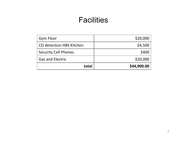### Facilities

| <b>Gym Floor</b>                | \$20,000    |
|---------------------------------|-------------|
| <b>CO detection HBS Kitchen</b> | \$4,500     |
| <b>Security Cell Phones</b>     | \$400       |
| <b>Gas and Electric</b>         | \$20,000    |
| total                           | \$44,900.00 |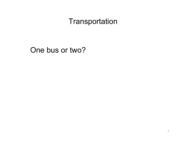### **Transportation**

### One bus or two?